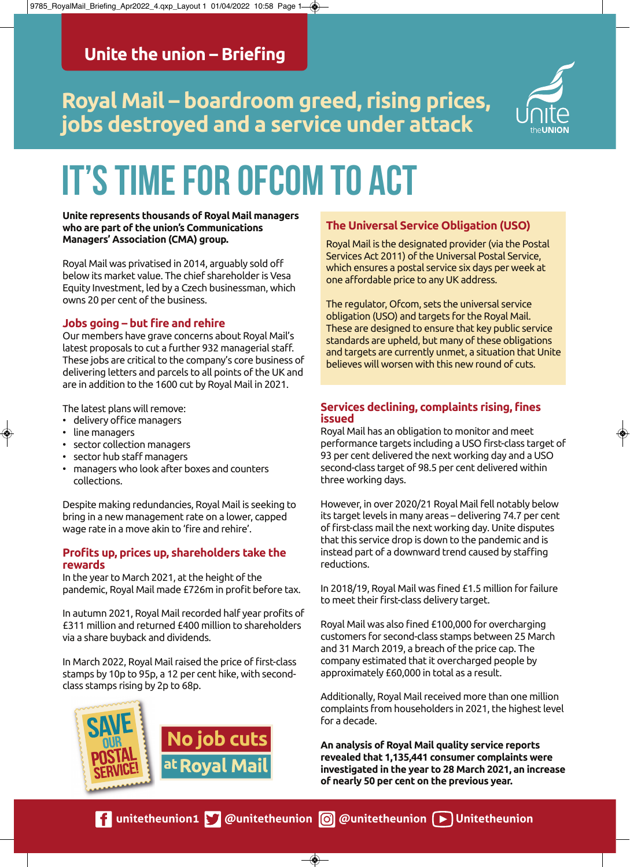# **Royal Mail – boardroom greed, rising prices, jobs destroyed and a service under attack**



# IT'S TIME FOR OFCOM TO ACT

#### **Unite represents thousands of Royal Mail managers who are part of the union's Communications Managers' Association (CMA) group.**

Royal Mail was privatised in 2014, arguably sold off below its market value. The chief shareholder is Vesa Equity Investment, led by a Czech businessman, which owns 20 per cent of the business.

## **Jobs going – but fire and rehire**

Our members have grave concerns about Royal Mail's latest proposals to cut a further 932 managerial staff. These jobs are critical to the company's core business of delivering letters and parcels to all points of the UK and are in addition to the 1600 cut by Royal Mail in 2021.

The latest plans will remove:

- delivery office managers
- line managers
- sector collection managers
- sector hub staff managers
- managers who look after boxes and counters collections.

Despite making redundancies, Royal Mail is seeking to bring in a new management rate on a lower, capped wage rate in a move akin to 'fire and rehire'.

#### **Profits up, prices up, shareholders take the rewards**

In the year to March 2021, at the height of the pandemic, Royal Mail made £726m in profit before tax.

In autumn 2021, Royal Mail recorded half year profits of £311 million and returned £400 million to shareholders via a share buyback and dividends.

In March 2022, Royal Mail raised the price of first-class stamps by 10p to 95p, a 12 per cent hike, with secondclass stamps rising by 2p to 68p.



# **The Universal Service Obligation (USO)**

Royal Mail is the designated provider (via the Postal Services Act 2011) of the Universal Postal Service, which ensures a postal service six days per week at one affordable price to any UK address.

The regulator, Ofcom, sets the universal service obligation (USO) and targets for the Royal Mail. These are designed to ensure that key public service standards are upheld, but many of these obligations and targets are currently unmet, a situation that Unite believes will worsen with this new round of cuts.

## **Services declining, complaints rising, fines issued**

Royal Mail has an obligation to monitor and meet performance targets including a USO first-class target of 93 per cent delivered the next working day and a USO second-class target of 98.5 per cent delivered within three working days.

However, in over 2020/21 Royal Mail fell notably below its target levels in many areas – delivering 74.7 per cent of first-class mail the next working day. Unite disputes that this service drop is down to the pandemic and is instead part of a downward trend caused by staffing reductions.

In 2018/19, Royal Mail was fined £1.5 million for failure to meet their first-class delivery target.

Royal Mail was also fined £100,000 for overcharging customers for second-class stamps between 25 March and 31 March 2019, a breach of the price cap. The company estimated that it overcharged people by approximately £60,000 in total as a result.

Additionally, Royal Mail received more than one million complaints from householders in 2021, the highest level for a decade.

**An analysis of Royal Mail quality service reports revealed that 1,135,441 consumer complaints were investigated in the year to 28 March 2021, an increase of nearly 50 per cent on the previous year.**